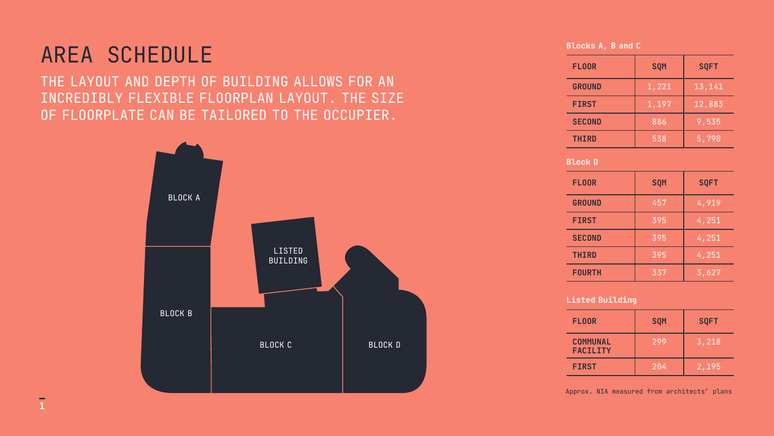THE LAYOUT AND DEPTH OF BUILDING ALLOWS FOR AN INCREDIBLY FLEXIBLE FLOORPLAN LAYOUT. THE SIZE OF FLOORPLATE CAN BE TAILORED TO THE OCCUPIER.

## AREA SCHEDULE

| <b>FLOOR</b>  | <b>SQM</b> | <b>SQFT</b> |
|---------------|------------|-------------|
| <b>GROUND</b> | 1,221      | 13,141      |
| <b>FIRST</b>  | 1,197      | 12,883      |
| <b>SECOND</b> | 886        | 9,535       |
| <b>THIRD</b>  | 538        | 5,790       |

### Blocks A, B and C

| <b>FLOOR</b>  | <b>SQM</b> | <b>SQFT</b>            |
|---------------|------------|------------------------|
| <b>GROUND</b> | 457        | 4,919                  |
| <b>FIRST</b>  | 395        | 4,251                  |
| <b>SECOND</b> | 395        | 4,251                  |
| <b>THIRD</b>  | 395        | $\overline{4}$ , $251$ |
| <b>FOURTH</b> | 337        | 3,627                  |

| <b>FLOOR</b>                       | <b>SQM</b> | <b>SQFT</b>   |
|------------------------------------|------------|---------------|
| <b>COMMUNAL</b><br><b>FACILITY</b> | 299        | $\vert$ 3,218 |
| <b>FIRST</b>                       | 204        | 2,195         |

#### Block D

### Listed Building



BLOCK D

Approx. NIA measured from architects' plans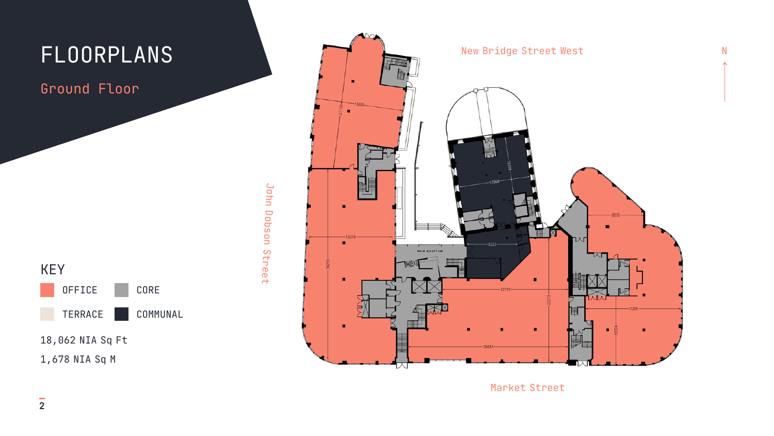Ground Floor



John John Dobson Street Dosdod Street



Market Street

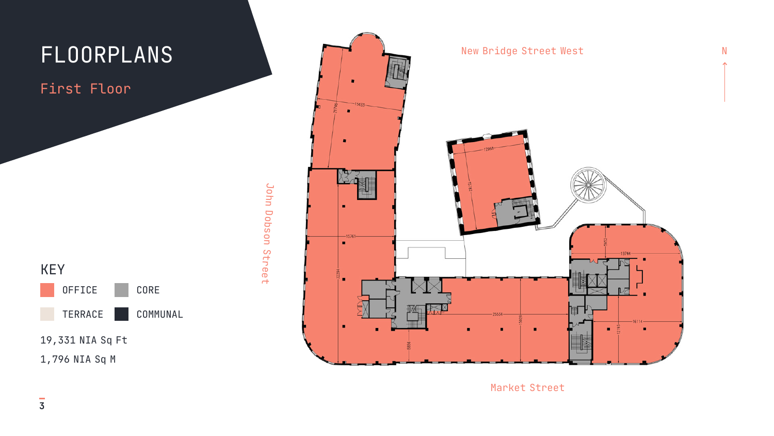## First Floor



John John Dobson Street Dobson Street



Market Street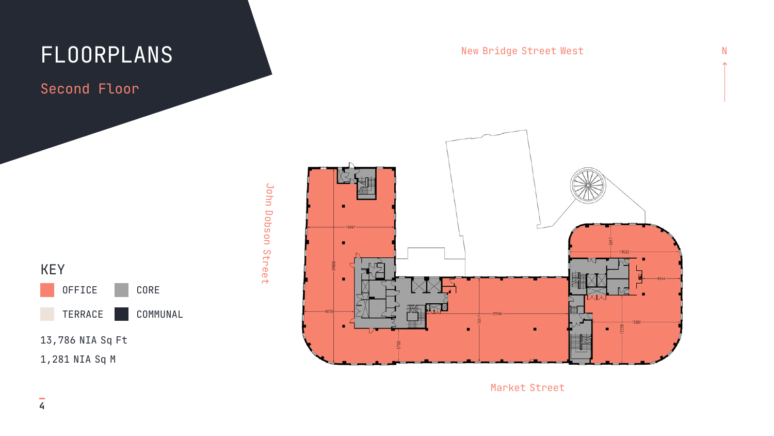Second Floor







Market Street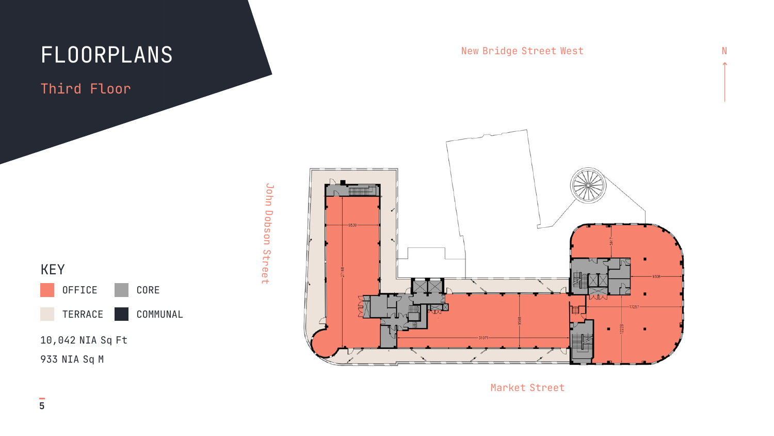## Third Floor







Market Street